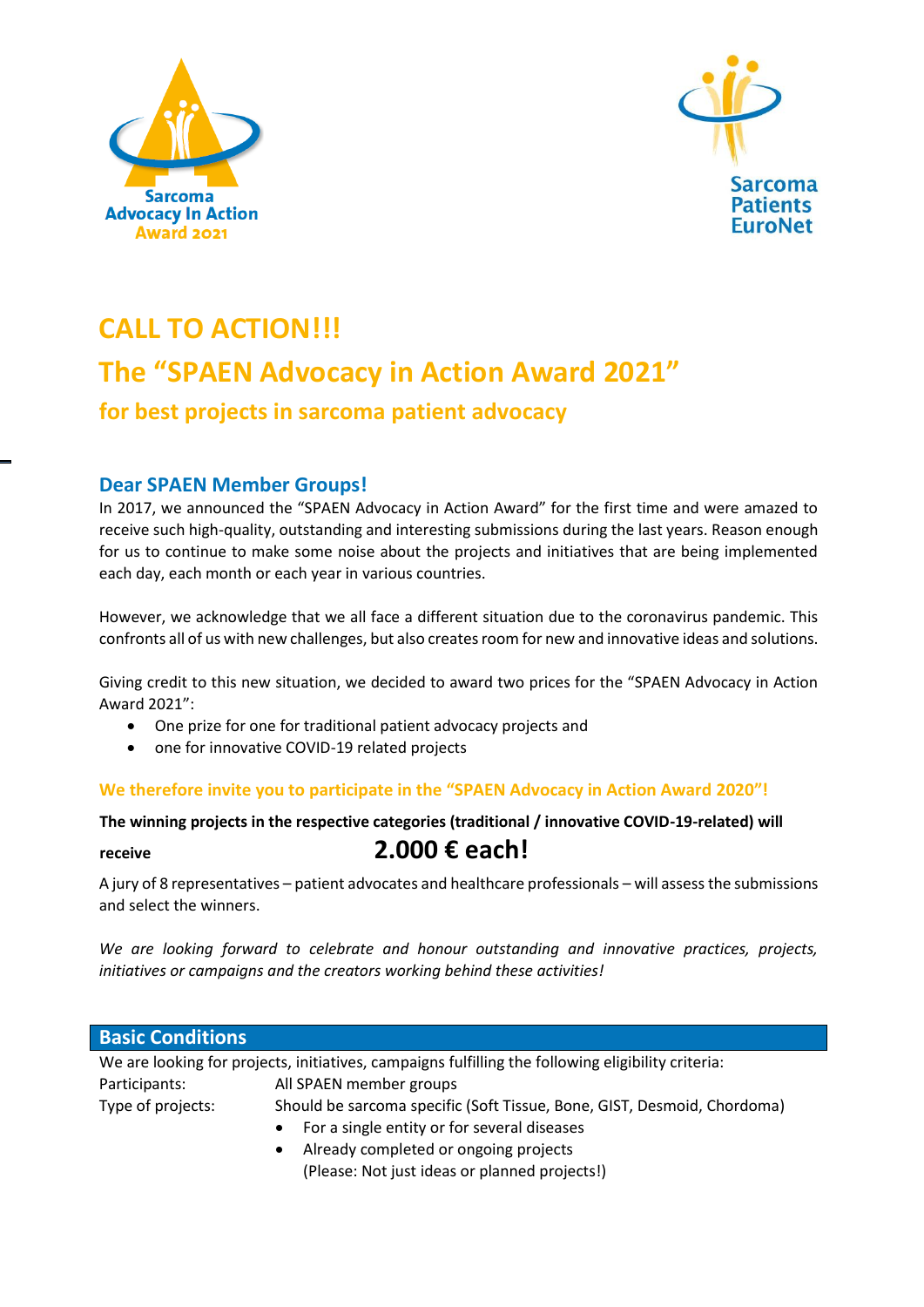



# **CALL TO ACTION!!! The "SPAEN Advocacy in Action Award 2021" for best projects in sarcoma patient advocacy**

### **Dear SPAEN Member Groups!**

In 2017, we announced the "SPAEN Advocacy in Action Award" for the first time and were amazed to receive such high-quality, outstanding and interesting submissions during the last years. Reason enough for us to continue to make some noise about the projects and initiatives that are being implemented each day, each month or each year in various countries.

However, we acknowledge that we all face a different situation due to the coronavirus pandemic. This confronts all of us with new challenges, but also creates room for new and innovative ideas and solutions.

Giving credit to this new situation, we decided to award two prices for the "SPAEN Advocacy in Action Award 2021":

- One prize for one for traditional patient advocacy projects and
- one for innovative COVID-19 related projects

### **We therefore invite you to participate in the "SPAEN Advocacy in Action Award 2020"!**

### **The winning projects in the respective categories (traditional / innovative COVID-19-related) will**

## **receive 2.000 € each!**

A jury of 8 representatives – patient advocates and healthcare professionals – will assessthe submissions and select the winners.

*We are looking forward to celebrate and honour outstanding and innovative practices, projects, initiatives or campaigns and the creators working behind these activities!*

| <b>Basic Conditions</b>                                                                            |                                                                         |
|----------------------------------------------------------------------------------------------------|-------------------------------------------------------------------------|
| We are looking for projects, initiatives, campaigns fulfilling the following eligibility criteria: |                                                                         |
| Participants:                                                                                      | All SPAEN member groups                                                 |
| Type of projects:                                                                                  | Should be sarcoma specific (Soft Tissue, Bone, GIST, Desmoid, Chordoma) |
|                                                                                                    | For a single entity or for several diseases                             |

 Already completed or ongoing projects (Please: Not just ideas or planned projects!)